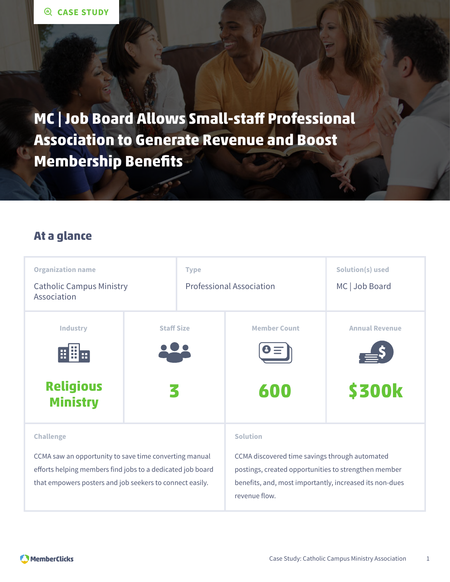**MC | Job Board Allows Small-staff Professional Association to Generate Revenue and Boost Membership Benefits**

### **At a glance**

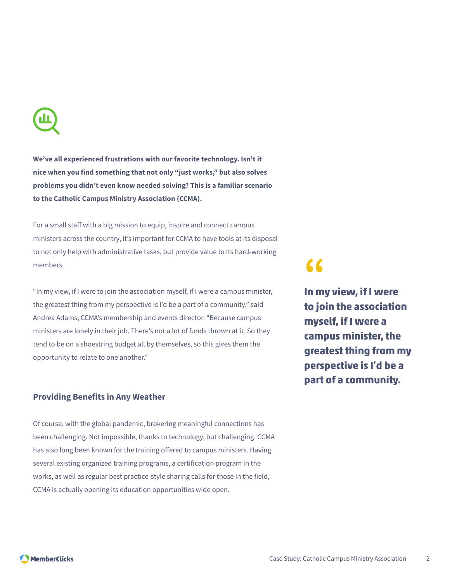

**We've all experienced frustrations with our favorite technology. Isn't it nice when you find something that not only "just works," but also solves problems you didn't even know needed solving? This is a familiar scenario to the Catholic Campus Ministry Association (CCMA).**

For a small staff with a big mission to equip, inspire and connect campus ministers across the country, it's important for CCMA to have tools at its disposal to not only help with administrative tasks, but provide value to its hard-working members.

"In my view, if I were to join the association myself, if I were a campus minister, the greatest thing from my perspective is I'd be a part of a community," said Andrea Adams, CCMA's membership and events director. "Because campus ministers are lonely in their job. There's not a lot of funds thrown at it. So they tend to be on a shoestring budget all by themselves, so this gives them the opportunity to relate to one another."

#### **Providing Benefits in Any Weather**

Of course, with the global pandemic, brokering meaningful connections has been challenging. Not impossible, thanks to technology, but challenging. CCMA has also long been known for the training offered to campus ministers. Having several existing organized training programs, a certification program in the works, as well as regular best practice-style sharing calls for those in the field, CCMA is actually opening its education opportunities wide open.

## **"**

**In my view, if I were to join the association myself, if I were a campus minister, the greatest thing from my perspective is I'd be a part of a community.**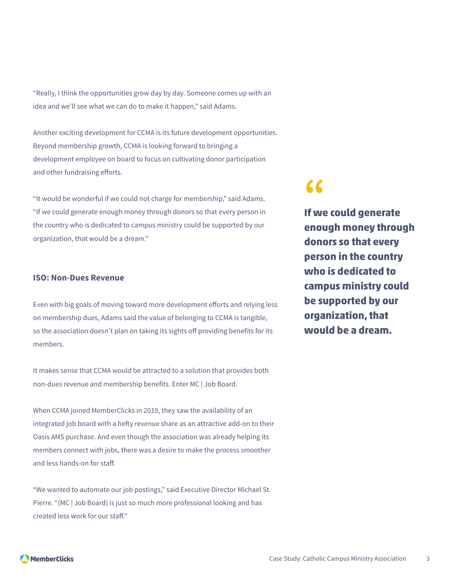"Really, I think the opportunities grow day by day. Someone comes up with an idea and we'll see what we can do to make it happen," said Adams.

Another exciting development for CCMA is its future development opportunities. Beyond membership growth, CCMA is looking forward to bringing a development employee on board to focus on cultivating donor participation and other fundraising efforts.

"It would be wonderful if we could not charge for membership," said Adams. "If we could generate enough money through donors so that every person in the country who is dedicated to campus ministry could be supported by our organization, that would be a dream."

#### **ISO: Non-Dues Revenue**

Even with big goals of moving toward more development efforts and relying less on membership dues, Adams said the value of belonging to CCMA is tangible, so the association doesn't plan on taking its sights off providing benefits for its members.

It makes sense that CCMA would be attracted to a solution that provides both non-dues revenue and membership benefits. Enter MC | Job Board.

When CCMA joined MemberClicks in 2019, they saw the availability of an integrated job board with a hefty revenue share as an attractive add-on to their Oasis AMS purchase. And even though the association was already helping its members connect with jobs, there was a desire to make the process smoother and less hands-on for staff.

"We wanted to automate our job postings," said Executive Director Michael St. Pierre. "(MC | Job Board) is just so much more professional looking and has created less work for our staff."

## **"**

**If we could generate enough money through donors so that every person in the country who is dedicated to campus ministry could be supported by our organization, that would be a dream.**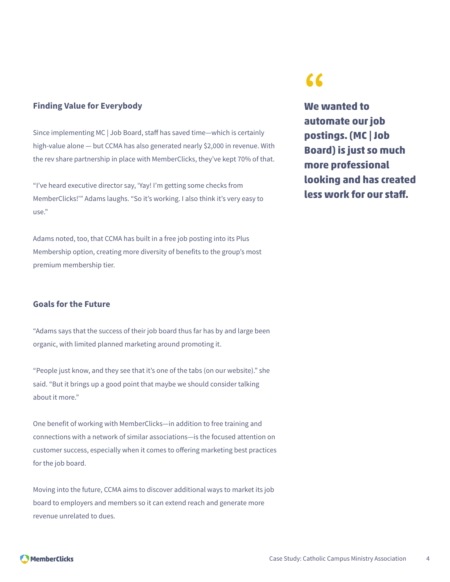#### **Finding Value for Everybody**

Since implementing MC | Job Board, staff has saved time—which is certainly high-value alone — but CCMA has also generated nearly \$2,000 in revenue. With the rev share partnership in place with MemberClicks, they've kept 70% of that.

"I've heard executive director say, 'Yay! I'm getting some checks from MemberClicks!'" Adams laughs. "So it's working. I also think it's very easy to use."

Adams noted, too, that CCMA has built in a free job posting into its Plus Membership option, creating more diversity of benefits to the group's most premium membership tier.

#### **Goals for the Future**

"Adams says that the success of their job board thus far has by and large been organic, with limited planned marketing around promoting it.

"People just know, and they see that it's one of the tabs (on our website)." she said. "But it brings up a good point that maybe we should consider talking about it more."

One benefit of working with MemberClicks—in addition to free training and connections with a network of similar associations—is the focused attention on customer success, especially when it comes to offering marketing best practices for the job board.

Moving into the future, CCMA aims to discover additional ways to market its job board to employers and members so it can extend reach and generate more revenue unrelated to dues.

## **"**

**We wanted to automate our job postings. (MC | Job Board) is just so much more professional looking and has created less work for our staff.**